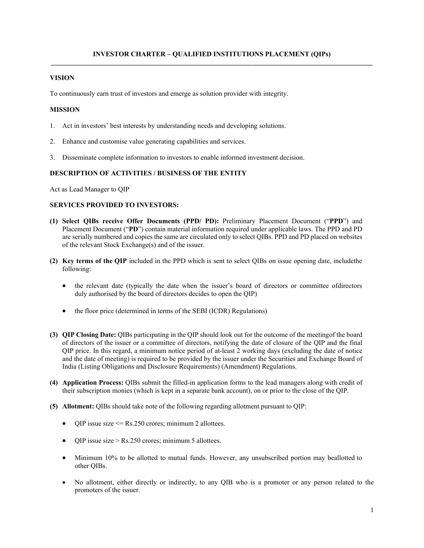# **VISION**

To continuously earn trust of investors and emerge as solution provider with integrity.

## **MISSION**

- 1. Act in investors' best interests by understanding needs and developing solutions.
- 2. Enhance and customise value generating capabilities and services.
- 3. Disseminate complete information to investors to enable informed investment decision.

### **DESCRIPTION OF ACTIVITIES / BUSINESS OF THE ENTITY**

Act as Lead Manager to QIP

# **SERVICES PROVIDED TO INVESTORS:**

- **(1) Select QIBs receive Offer Documents (PPD/ PD):** Preliminary Placement Document ("**PPD**") and Placement Document ("**PD**") contain material information required under applicable laws. The PPD and PD are serially numbered and copies the same are circulated only to select QIBs. PPD and PD placed on websites of the relevant Stock Exchange(s) and of the issuer.
- **(2) Key terms of the QIP** included in the PPD which is sent to select QIBs on issue opening date, include the following:
	- the relevant date (typically the date when the issuer's board of directors or committee of directors duly authorised by the board of directors decides to open the QIP)
	- the floor price (determined in terms of the SEBI (ICDR) Regulations)
- **(3) QIP Closing Date:** QIBs participating in the QIP should look out for the outcome of the meeting of the board of directors of the issuer or a committee of directors, notifying the date of closure of the QIP and the final QIP price. In this regard, a minimum notice period of at-least 2 working days (excluding the date of notice and the date of meeting) is required to be provided by the issuer under the Securities and Exchange Board of India (Listing Obligations and Disclosure Requirements) (Amendment) Regulations.
- **(4) Application Process:** QIBs submit the filled-in application forms to the lead managers along with credit of their subscription monies (which is kept in a separate bank account), on or prior to the close of the QIP.
- **(5) Allotment:** QIBs should take note of the following regarding allotment pursuant to QIP:
	- $QIP$  issue size  $\leq$  Rs.250 crores; minimum 2 allottees.
	- QIP issue size > Rs.250 crores; minimum 5 allottees.
	- Minimum 10% to be allotted to mutual funds. However, any unsubscribed portion may be allotted to other QIBs.
	- No allotment, either directly or indirectly, to any QIB who is a promoter or any person related to the promoters of the issuer.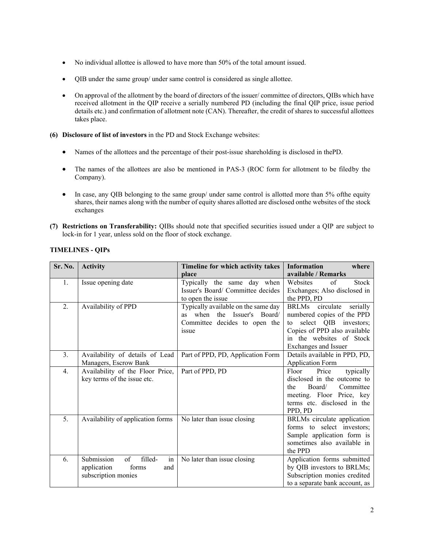- No individual allottee is allowed to have more than 50% of the total amount issued.
- QIB under the same group/ under same control is considered as single allottee.
- On approval of the allotment by the board of directors of the issuer/ committee of directors, QIBs which have received allotment in the QIP receive a serially numbered PD (including the final QIP price, issue period details etc.) and confirmation of allotment note (CAN). Thereafter, the credit of shares to successful allottees takes place.
- **(6) Disclosure of list of investors** in the PD and Stock Exchange websites:
	- Names of the allottees and the percentage of their post-issue shareholding is disclosed in the PD.
	- The names of the allottees are also be mentioned in PAS-3 (ROC form for allotment to be filed by the Company).
	- In case, any QIB belonging to the same group/ under same control is allotted more than 5% of the equity shares, their names along with the number of equity shares allotted are disclosed on the websites of the stock exchanges
- **(7) Restrictions on Transferability:** QIBs should note that specified securities issued under a QIP are subject to lock-in for 1 year, unless sold on the floor of stock exchange.

| Sr. No.          | <b>Activity</b>                                                                         | Timeline for which activity takes                                                                                      | <b>Information</b><br>where                                                                                                                                                  |
|------------------|-----------------------------------------------------------------------------------------|------------------------------------------------------------------------------------------------------------------------|------------------------------------------------------------------------------------------------------------------------------------------------------------------------------|
|                  |                                                                                         | place                                                                                                                  | available / Remarks                                                                                                                                                          |
| 1.               | Issue opening date                                                                      | Typically the same day when<br>Issuer's Board/ Committee decides<br>to open the issue                                  | of<br>Stock<br>Websites<br>Exchanges; Also disclosed in<br>the PPD, PD                                                                                                       |
| 2.               | Availability of PPD                                                                     | Typically available on the same day<br>when the Issuer's Board/<br><b>as</b><br>Committee decides to open the<br>issue | BRLMs circulate<br>serially<br>numbered copies of the PPD<br>select QIB investors;<br>to<br>Copies of PPD also available<br>in the websites of Stock<br>Exchanges and Issuer |
| 3.               | Availability of details of Lead<br>Managers, Escrow Bank                                | Part of PPD, PD, Application Form                                                                                      | Details available in PPD, PD,<br><b>Application Form</b>                                                                                                                     |
| $\overline{4}$ . | Availability of the Floor Price,<br>key terms of the issue etc.                         | Part of PPD, PD                                                                                                        | Floor<br>Price<br>typically<br>disclosed in the outcome to<br>Board/<br>Committee<br>the<br>meeting. Floor Price, key<br>terms etc. disclosed in the<br>PPD, PD              |
| 5.               | Availability of application forms                                                       | No later than issue closing                                                                                            | BRLMs circulate application<br>forms to select investors;<br>Sample application form is<br>sometimes also available in<br>the PPD                                            |
| 6.               | Submission<br>of<br>in<br>filled-<br>forms<br>application<br>and<br>subscription monies | No later than issue closing                                                                                            | Application forms submitted<br>by QIB investors to BRLMs;<br>Subscription monies credited<br>to a separate bank account, as                                                  |

# **TIMELINES - QIPs**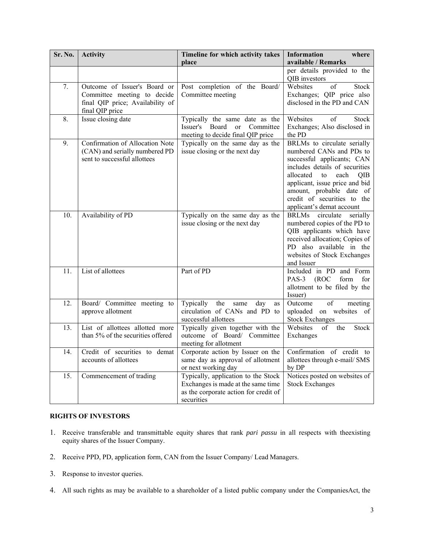| Sr. No.           | <b>Activity</b>                                                                                                    | Timeline for which activity takes<br>place                                                                                       | <b>Information</b><br>where<br>available / Remarks                                                                                                                                                                                                                                         |
|-------------------|--------------------------------------------------------------------------------------------------------------------|----------------------------------------------------------------------------------------------------------------------------------|--------------------------------------------------------------------------------------------------------------------------------------------------------------------------------------------------------------------------------------------------------------------------------------------|
|                   |                                                                                                                    |                                                                                                                                  | per details provided to the<br>QIB investors                                                                                                                                                                                                                                               |
| 7.                | Outcome of Issuer's Board or<br>Committee meeting to decide<br>final QIP price; Availability of<br>final QIP price | Post completion of the Board/<br>Committee meeting                                                                               | Websites<br>of<br><b>Stock</b><br>Exchanges; QIP price also<br>disclosed in the PD and CAN                                                                                                                                                                                                 |
| 8.                | Issue closing date                                                                                                 | Typically the same date as the<br>Issuer's Board<br><sub>or</sub><br>Committee<br>meeting to decide final QIP price              | Websites<br>of<br>Stock<br>Exchanges; Also disclosed in<br>the PD                                                                                                                                                                                                                          |
| 9.                | Confirmation of Allocation Note<br>(CAN) and serially numbered PD<br>sent to successful allottees                  | Typically on the same day as the<br>issue closing or the next day                                                                | BRLMs to circulate serially<br>numbered CANs and PDs to<br>successful applicants; CAN<br>includes details of securities<br>allocated<br>each<br><b>OIB</b><br>to<br>applicant, issue price and bid<br>amount, probable date of<br>credit of securities to the<br>applicant's demat account |
| $\overline{10}$ . | Availability of PD                                                                                                 | Typically on the same day as the<br>issue closing or the next day                                                                | BRLMs circulate<br>serially<br>numbered copies of the PD to<br>QIB applicants which have<br>received allocation; Copies of<br>PD also available in the<br>websites of Stock Exchanges<br>and Issuer                                                                                        |
| 11.               | List of allottees                                                                                                  | Part of PD                                                                                                                       | Included in PD and Form<br>(ROC)<br>form<br>for<br>PAS-3<br>allotment to be filed by the<br>Issuer)                                                                                                                                                                                        |
| 12.               | Board/ Committee meeting to<br>approve allotment                                                                   | Typically<br>the<br>day<br>same<br>as<br>circulation of CANs and PD to<br>successful allottees                                   | of<br>Outcome<br>meeting<br>uploaded on websites of<br><b>Stock Exchanges</b>                                                                                                                                                                                                              |
| 13.               | List of allottees allotted more<br>than 5% of the securities offered                                               | Typically given together with the<br>outcome of Board/ Committee<br>meeting for allotment                                        | Websites<br>of<br>the<br>Stock<br>Exchanges                                                                                                                                                                                                                                                |
| 14.               | Credit of securities to demat<br>accounts of allottees                                                             | Corporate action by Issuer on the<br>same day as approval of allotment<br>or next working day                                    | Confirmation of credit to<br>allottees through e-mail/ SMS<br>by DP                                                                                                                                                                                                                        |
| 15.               | Commencement of trading                                                                                            | Typically, application to the Stock<br>Exchanges is made at the same time<br>as the corporate action for credit of<br>securities | Notices posted on websites of<br><b>Stock Exchanges</b>                                                                                                                                                                                                                                    |

# **RIGHTS OF INVESTORS**

- 1. Receive transferable and transmittable equity shares that rank *pari passu* in all respects with the existing equity shares of the Issuer Company.
- 2. Receive PPD, PD, application form, CAN from the Issuer Company/ Lead Managers.
- 3. Response to investor queries.
- 4. All such rights as may be available to a shareholder of a listed public company under the Companies Act, the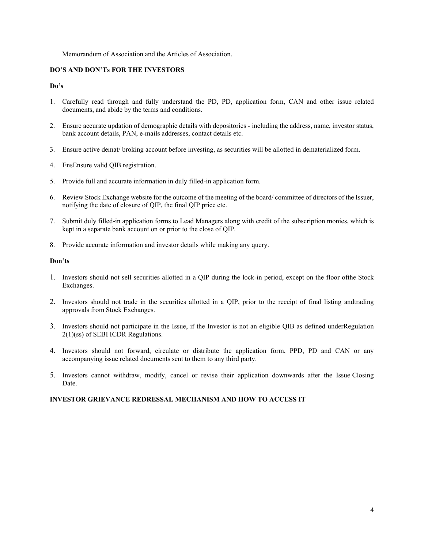#### Memorandum of Association and the Articles of Association.

### **DO'S AND DON'Ts FOR THE INVESTORS**

### **Do's**

- 1. Carefully read through and fully understand the PD, PD, application form, CAN and other issue related documents, and abide by the terms and conditions.
- 2. Ensure accurate updation of demographic details with depositories including the address, name, investor status, bank account details, PAN, e-mails addresses, contact details etc.
- 3. Ensure active demat/ broking account before investing, as securities will be allotted in dematerialized form.
- 4. EnsEnsure valid QIB registration.
- 5. Provide full and accurate information in duly filled-in application form.
- 6. Review Stock Exchange website for the outcome of the meeting of the board/ committee of directors of the Issuer, notifying the date of closure of QIP, the final QIP price etc.
- 7. Submit duly filled-in application forms to Lead Managers along with credit of the subscription monies, which is kept in a separate bank account on or prior to the close of QIP.
- 8. Provide accurate information and investor details while making any query.

#### **Don'ts**

- 1. Investors should not sell securities allotted in a QIP during the lock-in period, except on the floor of the Stock Exchanges.
- 2. Investors should not trade in the securities allotted in a QIP, prior to the receipt of final listing and trading approvals from Stock Exchanges.
- 3. Investors should not participate in the Issue, if the Investor is not an eligible QIB as defined under Regulation 2(1)(ss) of SEBI ICDR Regulations.
- 4. Investors should not forward, circulate or distribute the application form, PPD, PD and CAN or any accompanying issue related documents sent to them to any third party.
- 5. Investors cannot withdraw, modify, cancel or revise their application downwards after the Issue Closing Date.

### **INVESTOR GRIEVANCE REDRESSAL MECHANISM AND HOW TO ACCESS IT**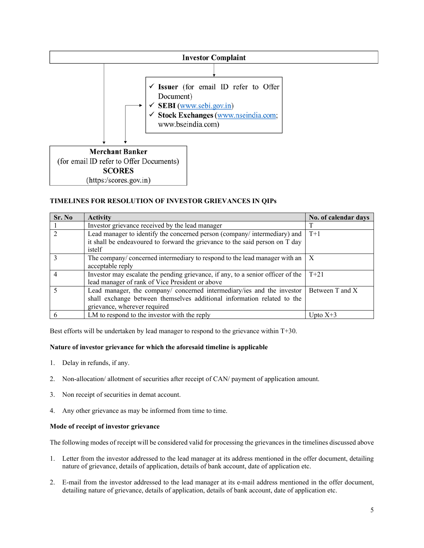

### **TIMELINES FOR RESOLUTION OF INVESTOR GRIEVANCES IN QIPs**

| Sr. No | <b>Activity</b>                                                                 | No. of calendar days |
|--------|---------------------------------------------------------------------------------|----------------------|
|        | Investor grievance received by the lead manager                                 |                      |
|        | Lead manager to identify the concerned person (company/intermediary) and        | $T+1$                |
|        | it shall be endeavoured to forward the grievance to the said person on T day    |                      |
|        | istelf                                                                          |                      |
|        | The company/concerned intermediary to respond to the lead manager with an       | $\boldsymbol{X}$     |
|        | acceptable reply                                                                |                      |
|        | Investor may escalate the pending grievance, if any, to a senior officer of the | $T+21$               |
|        | lead manager of rank of Vice President or above                                 |                      |
|        | Lead manager, the company/ concerned intermediary/ies and the investor          | Between T and X      |
|        | shall exchange between themselves additional information related to the         |                      |
|        | grievance, wherever required                                                    |                      |
|        | LM to respond to the investor with the reply                                    | Upto $X+3$           |

Best efforts will be undertaken by lead manager to respond to the grievance within T+30.

### **Nature of investor grievance for which the aforesaid timeline is applicable**

- 1. Delay in refunds, if any.
- 2. Non-allocation/ allotment of securities after receipt of CAN/ payment of application amount.
- 3. Non receipt of securities in demat account.
- 4. Any other grievance as may be informed from time to time.

#### **Mode of receipt of investor grievance**

The following modes of receipt will be considered valid for processing the grievances in the timelines discussed above

- 1. Letter from the investor addressed to the lead manager at its address mentioned in the offer document, detailing nature of grievance, details of application, details of bank account, date of application etc.
- 2. E-mail from the investor addressed to the lead manager at its e-mail address mentioned in the offer document, detailing nature of grievance, details of application, details of bank account, date of application etc.